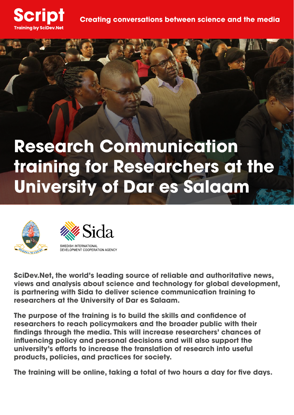

# **Research Communication training for Researchers at the University of Dar es Salaam**





**SciDev.Net, the world's leading source of reliable and authoritative news, views and analysis about science and technology for global development, is partnering with Sida to deliver science communication training to researchers at the University of Dar es Salaam.** 

**The purpose of the training is to build the skills and confidence of researchers to reach policymakers and the broader public with their findings through the media. This will increase researchers' chances of influencing policy and personal decisions and will also support the university's efforts to increase the translation of research into useful products, policies, and practices for society.**

**The training will be online, taking a total of two hours a day for five days.**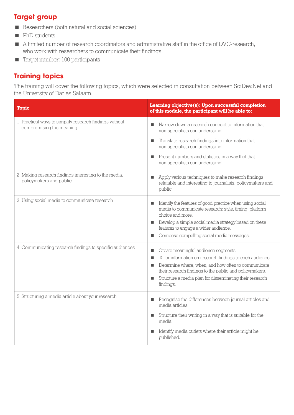## **Target group**

- Researchers (both natural and social sciences)
- **PhD** students
- A limited number of research coordinators and administrative staff in the office of DVC-research, who work with researchers to communicate their findings.
- Target number: 100 participants

# **Training topics**

The training will cover the following topics, which were selected in consultation between SciDev.Net and the University of Dar es Salaam.

| <b>Topic</b>                                                                        | Learning objective(s): Upon successful completion<br>of this module, the participant will be able to:                                                                                                                                                                                                      |
|-------------------------------------------------------------------------------------|------------------------------------------------------------------------------------------------------------------------------------------------------------------------------------------------------------------------------------------------------------------------------------------------------------|
| 1. Practical ways to simplify research findings without<br>compromising the meaning | Narrow down a research concept to information that<br>non-specialists can understand.<br>Translate research findings into information that<br>٠<br>non-specialists can understand.<br>Present numbers and statistics in a way that that<br>٠<br>non-specialists can understand.                            |
| 2. Making research findings interesting to the media,<br>policymakers and public    | Apply various techniques to make research findings<br>■<br>relatable and interesting to journalists, policymakers and<br>public.                                                                                                                                                                           |
| 3. Using social media to communicate research                                       | Identify the features of good practice when using social<br>п<br>media to communicate research: style, timing, platform<br>choice and more.<br>Develop a simple social media strategy based on these<br>п<br>features to engage a wider audience.<br>Compose compelling social media messages.<br>п        |
| 4. Communicating research findings to specific audiences                            | Create meaningful audience segments.<br>Tailor information on research findings to each audience.<br>٠<br>Determine where, when, and how often to communicate<br>п<br>their research findings to the public and policymakers.<br>Structure a media plan for disseminating their research<br>п<br>findings. |
| 5. Structuring a media article about your research                                  | Recognise the differences between journal articles and<br>п<br>media articles.<br>Structure their writing in a way that is suitable for the<br>п<br>media.<br>Identify media outlets where their article might be<br>published.                                                                            |